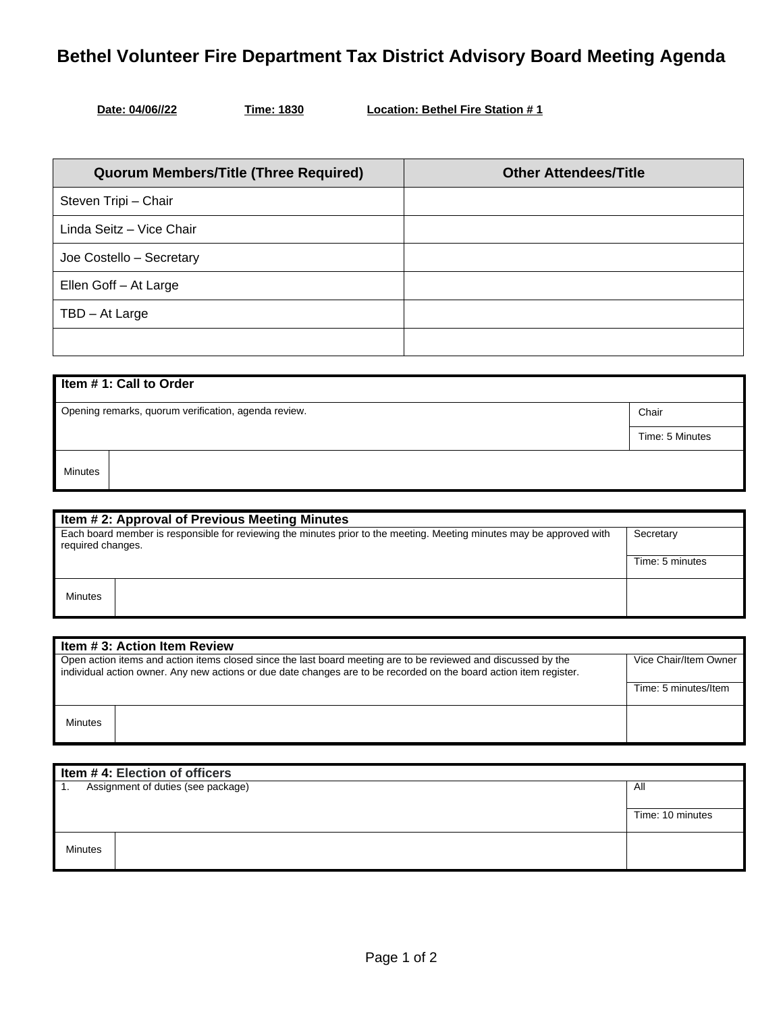## **Bethel Volunteer Fire Department Tax District Advisory Board Meeting Agenda**

**Time: 1830 Location: Bethel Fire Station # 1** 

| <b>Quorum Members/Title (Three Required)</b> | <b>Other Attendees/Title</b> |
|----------------------------------------------|------------------------------|
| Steven Tripi - Chair                         |                              |
| Linda Seitz - Vice Chair                     |                              |
| Joe Costello - Secretary                     |                              |
| Ellen Goff - At Large                        |                              |
| TBD - At Large                               |                              |
|                                              |                              |

| Item #1: Call to Order                               |                 |  |  |
|------------------------------------------------------|-----------------|--|--|
| Opening remarks, quorum verification, agenda review. | Chair           |  |  |
|                                                      | Time: 5 Minutes |  |  |
| <b>Minutes</b>                                       |                 |  |  |

| Item # 2: Approval of Previous Meeting Minutes                                                                                             |  |                 |
|--------------------------------------------------------------------------------------------------------------------------------------------|--|-----------------|
| Each board member is responsible for reviewing the minutes prior to the meeting. Meeting minutes may be approved with<br>required changes. |  | Secretary       |
|                                                                                                                                            |  | Time: 5 minutes |
| Minutes                                                                                                                                    |  |                 |

| Item # 3: Action Item Review                                                                                                                                                                                                         |  |                       |
|--------------------------------------------------------------------------------------------------------------------------------------------------------------------------------------------------------------------------------------|--|-----------------------|
| Open action items and action items closed since the last board meeting are to be reviewed and discussed by the<br>individual action owner. Any new actions or due date changes are to be recorded on the board action item register. |  | Vice Chair/Item Owner |
|                                                                                                                                                                                                                                      |  | Time: 5 minutes/Item  |
| <b>Minutes</b>                                                                                                                                                                                                                       |  |                       |

| Item $#$ 4: Election of officers          |  |                  |
|-------------------------------------------|--|------------------|
| Assignment of duties (see package)<br>II. |  | All              |
|                                           |  |                  |
|                                           |  | Time: 10 minutes |
|                                           |  |                  |
| Minutes                                   |  |                  |